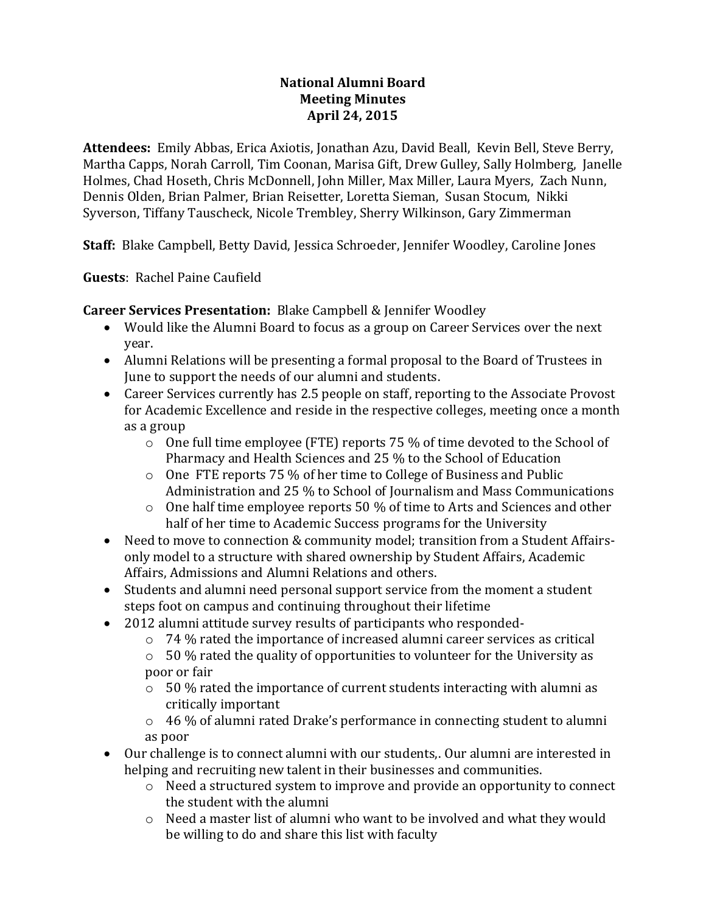## **National Alumni Board Meeting Minutes April 24, 2015**

**Attendees:** Emily Abbas, Erica Axiotis, Jonathan Azu, David Beall, Kevin Bell, Steve Berry, Martha Capps, Norah Carroll, Tim Coonan, Marisa Gift, Drew Gulley, Sally Holmberg, Janelle Holmes, Chad Hoseth, Chris McDonnell, John Miller, Max Miller, Laura Myers, Zach Nunn, Dennis Olden, Brian Palmer, Brian Reisetter, Loretta Sieman, Susan Stocum, Nikki Syverson, Tiffany Tauscheck, Nicole Trembley, Sherry Wilkinson, Gary Zimmerman

**Staff:** Blake Campbell, Betty David, Jessica Schroeder, Jennifer Woodley, Caroline Jones

**Guests**: Rachel Paine Caufield

**Career Services Presentation:** Blake Campbell & Jennifer Woodley

- Would like the Alumni Board to focus as a group on Career Services over the next year.
- Alumni Relations will be presenting a formal proposal to the Board of Trustees in June to support the needs of our alumni and students.
- Career Services currently has 2.5 people on staff, reporting to the Associate Provost for Academic Excellence and reside in the respective colleges, meeting once a month as a group
	- $\circ$  One full time employee (FTE) reports 75 % of time devoted to the School of Pharmacy and Health Sciences and 25 % to the School of Education
	- o One FTE reports 75 % of her time to College of Business and Public Administration and 25 % to School of Journalism and Mass Communications
	- o One half time employee reports 50 % of time to Arts and Sciences and other half of her time to Academic Success programs for the University
- Need to move to connection & community model; transition from a Student Affairsonly model to a structure with shared ownership by Student Affairs, Academic Affairs, Admissions and Alumni Relations and others.
- Students and alumni need personal support service from the moment a student steps foot on campus and continuing throughout their lifetime
- 2012 alumni attitude survey results of participants who responded-
	- $\circ$  74 % rated the importance of increased alumni career services as critical
	- $\circ$  50 % rated the quality of opportunities to volunteer for the University as poor or fair
	- $\circ$  50 % rated the importance of current students interacting with alumni as critically important
	- o 46 % of alumni rated Drake's performance in connecting student to alumni as poor
- Our challenge is to connect alumni with our students,. Our alumni are interested in helping and recruiting new talent in their businesses and communities.
	- o Need a structured system to improve and provide an opportunity to connect the student with the alumni
	- o Need a master list of alumni who want to be involved and what they would be willing to do and share this list with faculty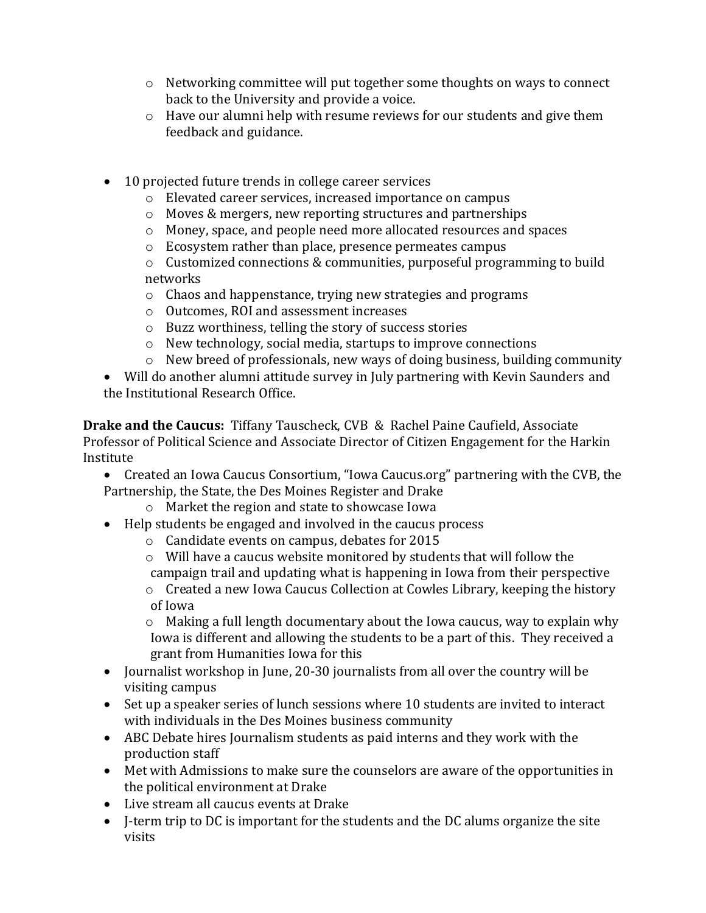- o Networking committee will put together some thoughts on ways to connect back to the University and provide a voice.
- o Have our alumni help with resume reviews for our students and give them feedback and guidance.
- 10 projected future trends in college career services
	- o Elevated career services, increased importance on campus
	- o Moves & mergers, new reporting structures and partnerships
	- o Money, space, and people need more allocated resources and spaces
	- o Ecosystem rather than place, presence permeates campus
	- o Customized connections & communities, purposeful programming to build networks
	- o Chaos and happenstance, trying new strategies and programs
	- o Outcomes, ROI and assessment increases
	- o Buzz worthiness, telling the story of success stories
	- o New technology, social media, startups to improve connections
	- o New breed of professionals, new ways of doing business, building community
- Will do another alumni attitude survey in July partnering with Kevin Saunders and the Institutional Research Office.

**Drake and the Caucus:** Tiffany Tauscheck, CVB & Rachel Paine Caufield, Associate Professor of Political Science and Associate Director of Citizen Engagement for the Harkin Institute

- Created an Iowa Caucus Consortium, "Iowa Caucus.org" partnering with the CVB, the Partnership, the State, the Des Moines Register and Drake
	- o Market the region and state to showcase Iowa
- Help students be engaged and involved in the caucus process
	- o Candidate events on campus, debates for 2015
	- o Will have a caucus website monitored by students that will follow the campaign trail and updating what is happening in Iowa from their perspective
	- o Created a new Iowa Caucus Collection at Cowles Library, keeping the history of Iowa

o Making a full length documentary about the Iowa caucus, way to explain why Iowa is different and allowing the students to be a part of this. They received a grant from Humanities Iowa for this

- Journalist workshop in June, 20-30 journalists from all over the country will be visiting campus
- Set up a speaker series of lunch sessions where 10 students are invited to interact with individuals in the Des Moines business community
- ABC Debate hires Journalism students as paid interns and they work with the production staff
- Met with Admissions to make sure the counselors are aware of the opportunities in the political environment at Drake
- Live stream all caucus events at Drake
- J-term trip to DC is important for the students and the DC alums organize the site visits